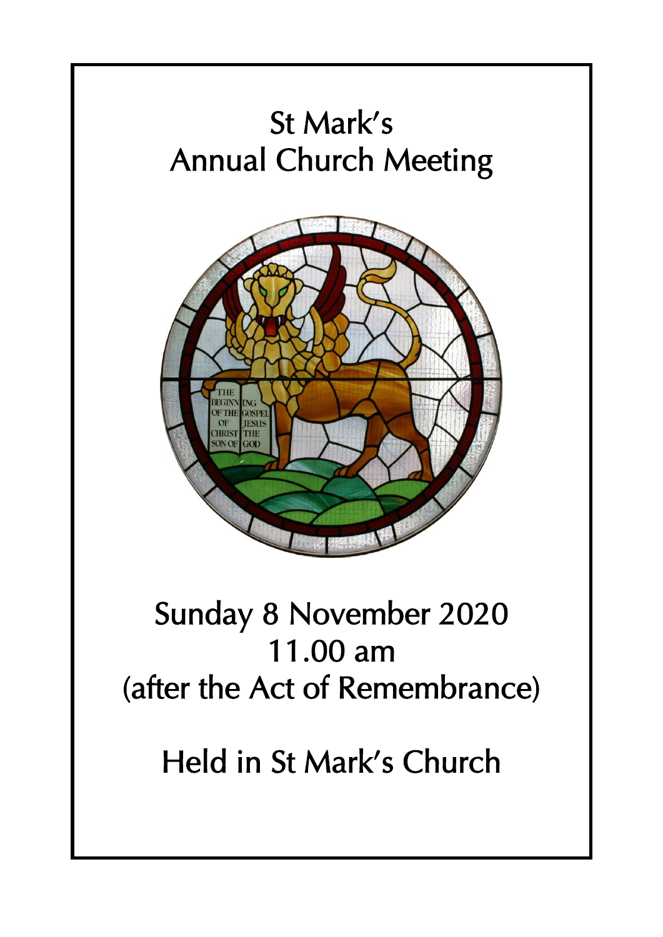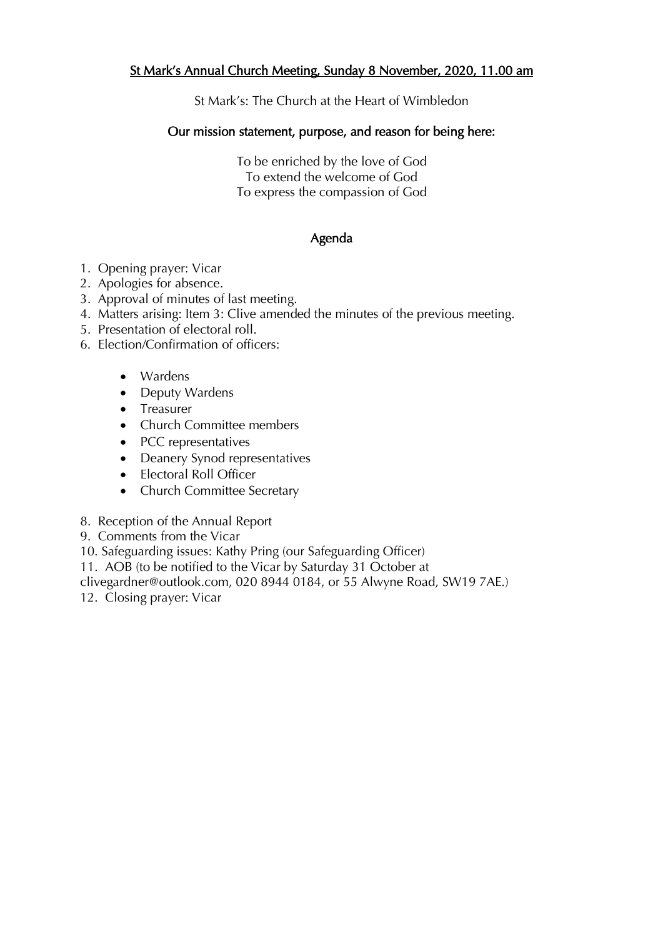#### St Mark's Annual Church Meeting, Sunday 8 November, 2020, 11.00 am

St Mark's: The Church at the Heart of Wimbledon

#### Our mission statement, purpose, and reason for being here:

To be enriched by the love of God To extend the welcome of God To express the compassion of God

#### Agenda

- 1. Opening prayer: Vicar
- 2. Apologies for absence.
- 3. Approval of minutes of last meeting.
- 4. Matters arising: Item 3: Clive amended the minutes of the previous meeting.
- 5. Presentation of electoral roll.
- 6. Election/Confirmation of officers:
	- Wardens
	- Deputy Wardens
	- Treasurer
	- Church Committee members
	- PCC representatives
	- Deanery Synod representatives
	- Electoral Roll Officer
	- Church Committee Secretary
- 8. Reception of the Annual Report
- 9. Comments from the Vicar
- 10. Safeguarding issues: Kathy Pring (our Safeguarding Officer)
- 11. AOB (to be notified to the Vicar by Saturday 31 October at
- clivegardner@outlook.com, 020 8944 0184, or 55 Alwyne Road, SW19 7AE.)
- 12. Closing prayer: Vicar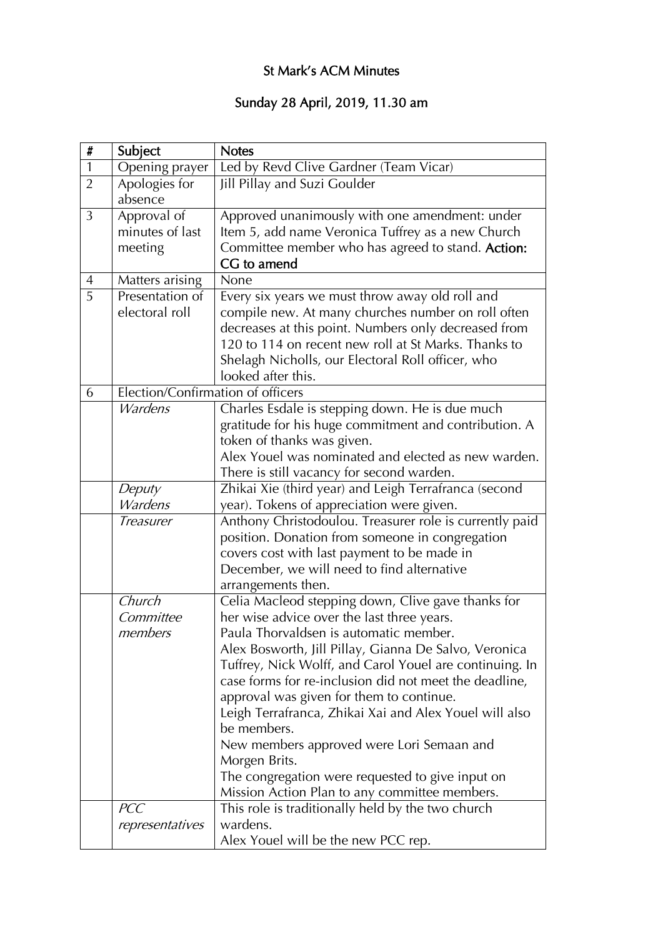## St Mark's ACM Minutes

#### Sunday 28 April, 2019, 11.30 am

| $\pmb{\sharp}$ | Subject                           | <b>Notes</b>                                                                                                                                                                                                                                                                                                                                                                                                                                                                                                                                                                                                     |  |
|----------------|-----------------------------------|------------------------------------------------------------------------------------------------------------------------------------------------------------------------------------------------------------------------------------------------------------------------------------------------------------------------------------------------------------------------------------------------------------------------------------------------------------------------------------------------------------------------------------------------------------------------------------------------------------------|--|
| $\mathbf{1}$   | Opening prayer                    | Led by Revd Clive Gardner (Team Vicar)                                                                                                                                                                                                                                                                                                                                                                                                                                                                                                                                                                           |  |
| $\overline{2}$ | Apologies for<br>absence          | Jill Pillay and Suzi Goulder                                                                                                                                                                                                                                                                                                                                                                                                                                                                                                                                                                                     |  |
| 3              | Approval of<br>minutes of last    | Approved unanimously with one amendment: under<br>Item 5, add name Veronica Tuffrey as a new Church                                                                                                                                                                                                                                                                                                                                                                                                                                                                                                              |  |
|                | meeting                           | Committee member who has agreed to stand. Action:<br>CG to amend                                                                                                                                                                                                                                                                                                                                                                                                                                                                                                                                                 |  |
| $\overline{4}$ | Matters arising                   | None                                                                                                                                                                                                                                                                                                                                                                                                                                                                                                                                                                                                             |  |
| 5              | Presentation of<br>electoral roll | Every six years we must throw away old roll and<br>compile new. At many churches number on roll often<br>decreases at this point. Numbers only decreased from<br>120 to 114 on recent new roll at St Marks. Thanks to<br>Shelagh Nicholls, our Electoral Roll officer, who<br>looked after this.                                                                                                                                                                                                                                                                                                                 |  |
| 6              | Election/Confirmation of officers |                                                                                                                                                                                                                                                                                                                                                                                                                                                                                                                                                                                                                  |  |
|                | <b>Wardens</b>                    | Charles Esdale is stepping down. He is due much<br>gratitude for his huge commitment and contribution. A<br>token of thanks was given.<br>Alex Youel was nominated and elected as new warden.<br>There is still vacancy for second warden.                                                                                                                                                                                                                                                                                                                                                                       |  |
|                | Deputy<br><b>Wardens</b>          | Zhikai Xie (third year) and Leigh Terrafranca (second<br>year). Tokens of appreciation were given.                                                                                                                                                                                                                                                                                                                                                                                                                                                                                                               |  |
|                | Treasurer                         | Anthony Christodoulou. Treasurer role is currently paid<br>position. Donation from someone in congregation<br>covers cost with last payment to be made in<br>December, we will need to find alternative<br>arrangements then.                                                                                                                                                                                                                                                                                                                                                                                    |  |
|                | Church<br>Committee<br>members    | Celia Macleod stepping down, Clive gave thanks for<br>her wise advice over the last three years.<br>Paula Thorvaldsen is automatic member.<br>Alex Bosworth, Jill Pillay, Gianna De Salvo, Veronica<br>Tuffrey, Nick Wolff, and Carol Youel are continuing. In<br>case forms for re-inclusion did not meet the deadline,<br>approval was given for them to continue.<br>Leigh Terrafranca, Zhikai Xai and Alex Youel will also<br>be members.<br>New members approved were Lori Semaan and<br>Morgen Brits.<br>The congregation were requested to give input on<br>Mission Action Plan to any committee members. |  |
|                | <b>PCC</b><br>representatives     | This role is traditionally held by the two church<br>wardens.<br>Alex Youel will be the new PCC rep.                                                                                                                                                                                                                                                                                                                                                                                                                                                                                                             |  |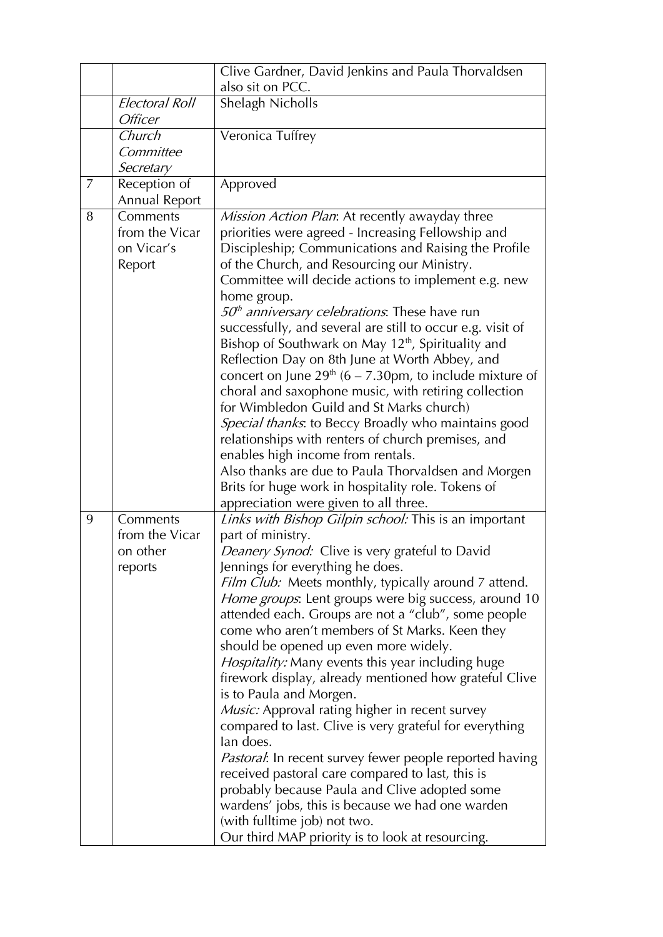|   |                           | Clive Gardner, David Jenkins and Paula Thorvaldsen                                                                           |
|---|---------------------------|------------------------------------------------------------------------------------------------------------------------------|
|   |                           | also sit on PCC.                                                                                                             |
|   | Electoral Roll<br>Officer | Shelagh Nicholls                                                                                                             |
|   | Church                    | Veronica Tuffrey                                                                                                             |
|   | Committee                 |                                                                                                                              |
|   | Secretary                 |                                                                                                                              |
| 7 | Reception of              | Approved                                                                                                                     |
|   | Annual Report             |                                                                                                                              |
| 8 | Comments                  | Mission Action Plan: At recently awayday three                                                                               |
|   | from the Vicar            | priorities were agreed - Increasing Fellowship and                                                                           |
|   | on Vicar's                | Discipleship; Communications and Raising the Profile                                                                         |
|   | Report                    | of the Church, and Resourcing our Ministry.                                                                                  |
|   |                           | Committee will decide actions to implement e.g. new                                                                          |
|   |                           | home group.                                                                                                                  |
|   |                           | $50th$ anniversary celebrations. These have run                                                                              |
|   |                           | successfully, and several are still to occur e.g. visit of<br>Bishop of Southwark on May 12 <sup>th</sup> , Spirituality and |
|   |                           | Reflection Day on 8th June at Worth Abbey, and                                                                               |
|   |                           | concert on June $29^{th}$ (6 – 7.30pm, to include mixture of                                                                 |
|   |                           | choral and saxophone music, with retiring collection                                                                         |
|   |                           | for Wimbledon Guild and St Marks church)                                                                                     |
|   |                           | Special thanks: to Beccy Broadly who maintains good                                                                          |
|   |                           | relationships with renters of church premises, and                                                                           |
|   |                           | enables high income from rentals.                                                                                            |
|   |                           | Also thanks are due to Paula Thorvaldsen and Morgen                                                                          |
|   |                           | Brits for huge work in hospitality role. Tokens of                                                                           |
|   |                           | appreciation were given to all three.                                                                                        |
| 9 | Comments                  | Links with Bishop Gilpin school: This is an important                                                                        |
|   | from the Vicar            | part of ministry.                                                                                                            |
|   | on other                  | Deanery Synod: Clive is very grateful to David                                                                               |
|   | reports                   | Jennings for everything he does.                                                                                             |
|   |                           | Film Club: Meets monthly, typically around 7 attend.                                                                         |
|   |                           | Home groups. Lent groups were big success, around 10                                                                         |
|   |                           | attended each. Groups are not a "club", some people                                                                          |
|   |                           | come who aren't members of St Marks. Keen they<br>should be opened up even more widely.                                      |
|   |                           | <i>Hospitality:</i> Many events this year including huge                                                                     |
|   |                           | firework display, already mentioned how grateful Clive                                                                       |
|   |                           | is to Paula and Morgen.                                                                                                      |
|   |                           | Music: Approval rating higher in recent survey                                                                               |
|   |                           | compared to last. Clive is very grateful for everything                                                                      |
|   |                           | lan does.                                                                                                                    |
|   |                           | <i>Pastoral</i> : In recent survey fewer people reported having                                                              |
|   |                           | received pastoral care compared to last, this is                                                                             |
|   |                           | probably because Paula and Clive adopted some                                                                                |
|   |                           | wardens' jobs, this is because we had one warden                                                                             |
|   |                           | (with fulltime job) not two.                                                                                                 |
|   |                           | Our third MAP priority is to look at resourcing.                                                                             |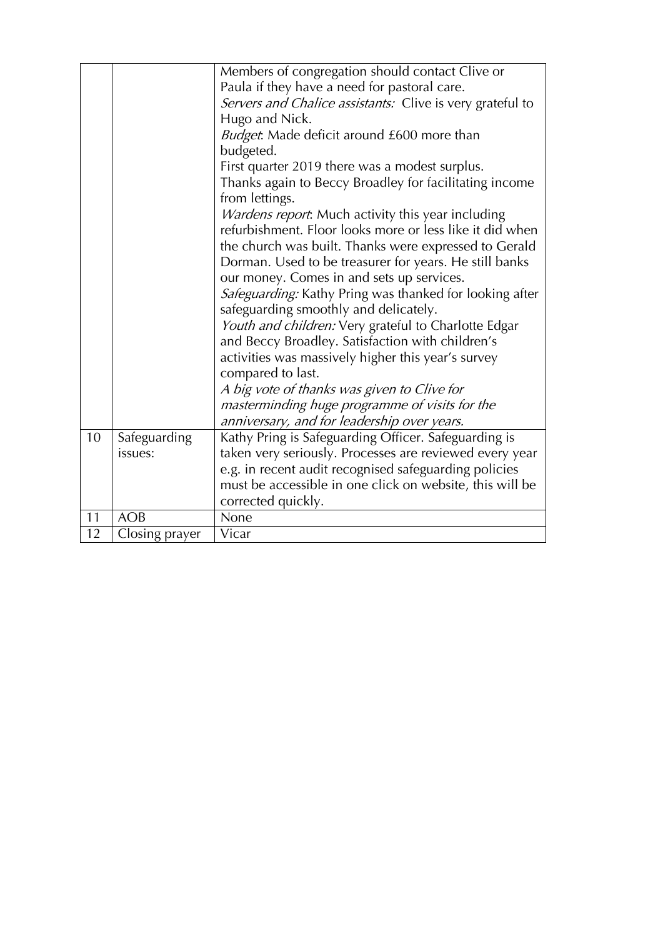|    |                | Members of congregation should contact Clive or           |
|----|----------------|-----------------------------------------------------------|
|    |                | Paula if they have a need for pastoral care.              |
|    |                | Servers and Chalice assistants: Clive is very grateful to |
|    |                | Hugo and Nick.                                            |
|    |                | <i>Budget</i> : Made deficit around £600 more than        |
|    |                | budgeted.                                                 |
|    |                | First quarter 2019 there was a modest surplus.            |
|    |                | Thanks again to Beccy Broadley for facilitating income    |
|    |                | from lettings.                                            |
|    |                | Wardens report. Much activity this year including         |
|    |                | refurbishment. Floor looks more or less like it did when  |
|    |                | the church was built. Thanks were expressed to Gerald     |
|    |                | Dorman. Used to be treasurer for years. He still banks    |
|    |                | our money. Comes in and sets up services.                 |
|    |                | Safeguarding: Kathy Pring was thanked for looking after   |
|    |                | safeguarding smoothly and delicately.                     |
|    |                | Youth and children: Very grateful to Charlotte Edgar      |
|    |                | and Beccy Broadley. Satisfaction with children's          |
|    |                | activities was massively higher this year's survey        |
|    |                | compared to last.                                         |
|    |                | A big vote of thanks was given to Clive for               |
|    |                | masterminding huge programme of visits for the            |
|    |                | anniversary, and for leadership over years.               |
| 10 |                | Kathy Pring is Safeguarding Officer. Safeguarding is      |
|    | Safeguarding   |                                                           |
|    | issues:        | taken very seriously. Processes are reviewed every year   |
|    |                | e.g. in recent audit recognised safeguarding policies     |
|    |                | must be accessible in one click on website, this will be  |
|    |                | corrected quickly.                                        |
| 11 | <b>AOB</b>     | None                                                      |
| 12 | Closing prayer | Vicar                                                     |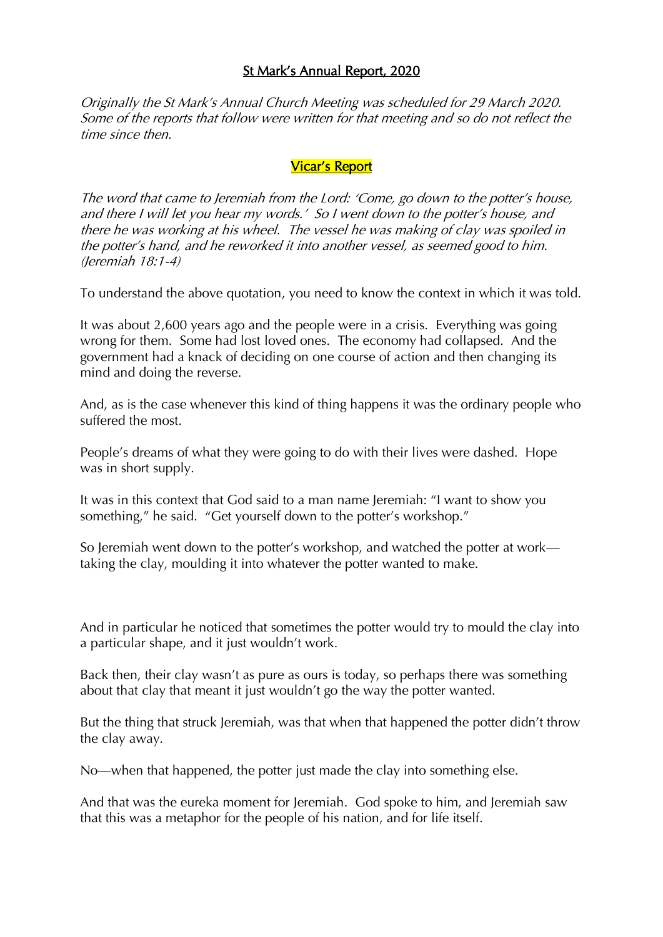#### St Mark's Annual Report, 2020

Originally the St Mark's Annual Church Meeting was scheduled for 29 March 2020. Some of the reports that follow were written for that meeting and so do not reflect the time since then.

#### Vicar's Report

The word that came to Jeremiah from the Lord: 'Come, go down to the potter's house, and there I will let you hear my words.' So I went down to the potter's house, and there he was working at his wheel. The vessel he was making of clay was spoiled in the potter's hand, and he reworked it into another vessel, as seemed good to him. (Jeremiah 18:1-4)

To understand the above quotation, you need to know the context in which it was told.

It was about 2,600 years ago and the people were in a crisis. Everything was going wrong for them. Some had lost loved ones. The economy had collapsed. And the government had a knack of deciding on one course of action and then changing its mind and doing the reverse.

And, as is the case whenever this kind of thing happens it was the ordinary people who suffered the most.

People's dreams of what they were going to do with their lives were dashed. Hope was in short supply.

It was in this context that God said to a man name Jeremiah: "I want to show you something," he said. "Get yourself down to the potter's workshop."

So Jeremiah went down to the potter's workshop, and watched the potter at work taking the clay, moulding it into whatever the potter wanted to make.

And in particular he noticed that sometimes the potter would try to mould the clay into a particular shape, and it just wouldn't work.

Back then, their clay wasn't as pure as ours is today, so perhaps there was something about that clay that meant it just wouldn't go the way the potter wanted.

But the thing that struck Jeremiah, was that when that happened the potter didn't throw the clay away.

No—when that happened, the potter just made the clay into something else.

And that was the eureka moment for Jeremiah. God spoke to him, and Jeremiah saw that this was a metaphor for the people of his nation, and for life itself.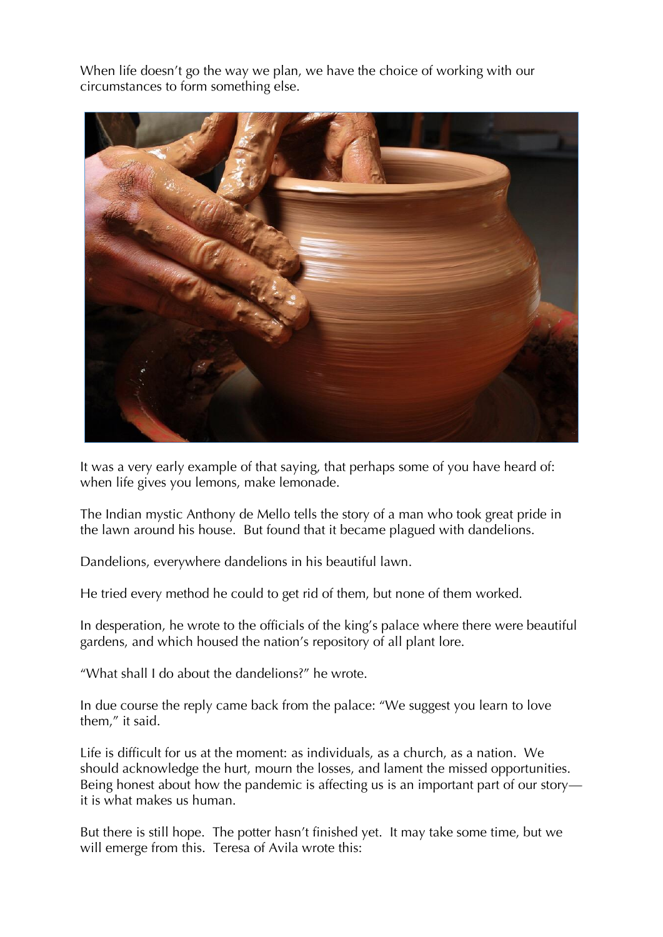When life doesn't go the way we plan, we have the choice of working with our circumstances to form something else.



It was a very early example of that saying, that perhaps some of you have heard of: when life gives you lemons, make lemonade.

The Indian mystic Anthony de Mello tells the story of a man who took great pride in the lawn around his house. But found that it became plagued with dandelions.

Dandelions, everywhere dandelions in his beautiful lawn.

He tried every method he could to get rid of them, but none of them worked.

In desperation, he wrote to the officials of the king's palace where there were beautiful gardens, and which housed the nation's repository of all plant lore.

"What shall I do about the dandelions?" he wrote.

In due course the reply came back from the palace: "We suggest you learn to love them," it said.

Life is difficult for us at the moment: as individuals, as a church, as a nation. We should acknowledge the hurt, mourn the losses, and lament the missed opportunities. Being honest about how the pandemic is affecting us is an important part of our story it is what makes us human.

But there is still hope. The potter hasn't finished yet. It may take some time, but we will emerge from this. Teresa of Avila wrote this: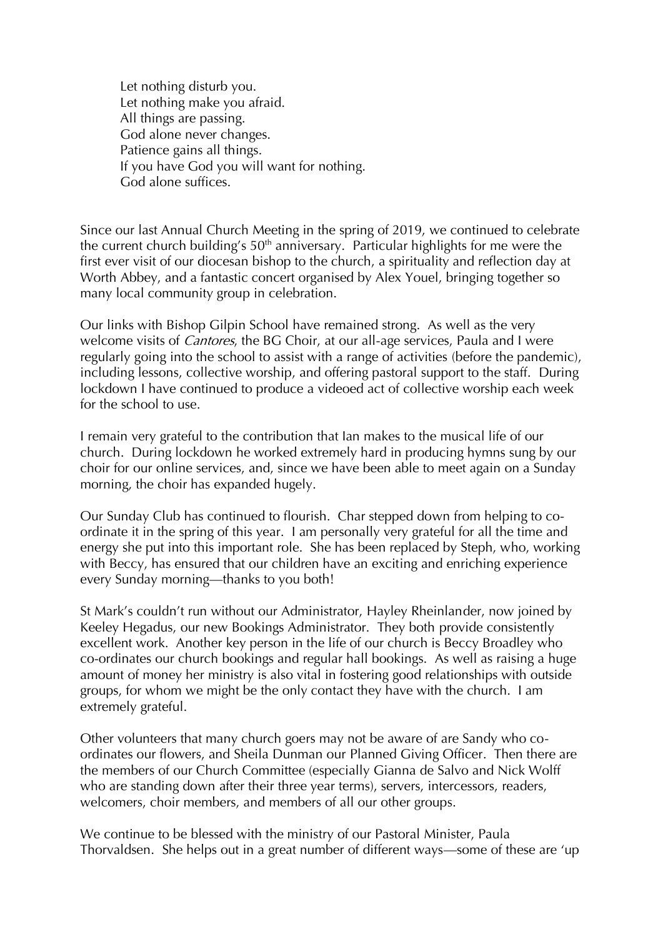Let nothing disturb you. Let nothing make you afraid. All things are passing. God alone never changes. Patience gains all things. If you have God you will want for nothing. God alone suffices.

Since our last Annual Church Meeting in the spring of 2019, we continued to celebrate the current church building's  $50<sup>th</sup>$  anniversary. Particular highlights for me were the first ever visit of our diocesan bishop to the church, a spirituality and reflection day at Worth Abbey, and a fantastic concert organised by Alex Youel, bringing together so many local community group in celebration.

Our links with Bishop Gilpin School have remained strong. As well as the very welcome visits of *Cantores*, the BG Choir, at our all-age services, Paula and I were regularly going into the school to assist with a range of activities (before the pandemic), including lessons, collective worship, and offering pastoral support to the staff. During lockdown I have continued to produce a videoed act of collective worship each week for the school to use.

I remain very grateful to the contribution that Ian makes to the musical life of our church. During lockdown he worked extremely hard in producing hymns sung by our choir for our online services, and, since we have been able to meet again on a Sunday morning, the choir has expanded hugely.

Our Sunday Club has continued to flourish. Char stepped down from helping to coordinate it in the spring of this year. I am personally very grateful for all the time and energy she put into this important role. She has been replaced by Steph, who, working with Beccy, has ensured that our children have an exciting and enriching experience every Sunday morning—thanks to you both!

St Mark's couldn't run without our Administrator, Hayley Rheinlander, now joined by Keeley Hegadus, our new Bookings Administrator. They both provide consistently excellent work. Another key person in the life of our church is Beccy Broadley who co-ordinates our church bookings and regular hall bookings. As well as raising a huge amount of money her ministry is also vital in fostering good relationships with outside groups, for whom we might be the only contact they have with the church. I am extremely grateful.

Other volunteers that many church goers may not be aware of are Sandy who coordinates our flowers, and Sheila Dunman our Planned Giving Officer. Then there are the members of our Church Committee (especially Gianna de Salvo and Nick Wolff who are standing down after their three year terms), servers, intercessors, readers, welcomers, choir members, and members of all our other groups.

We continue to be blessed with the ministry of our Pastoral Minister, Paula Thorvaldsen. She helps out in a great number of different ways—some of these are 'up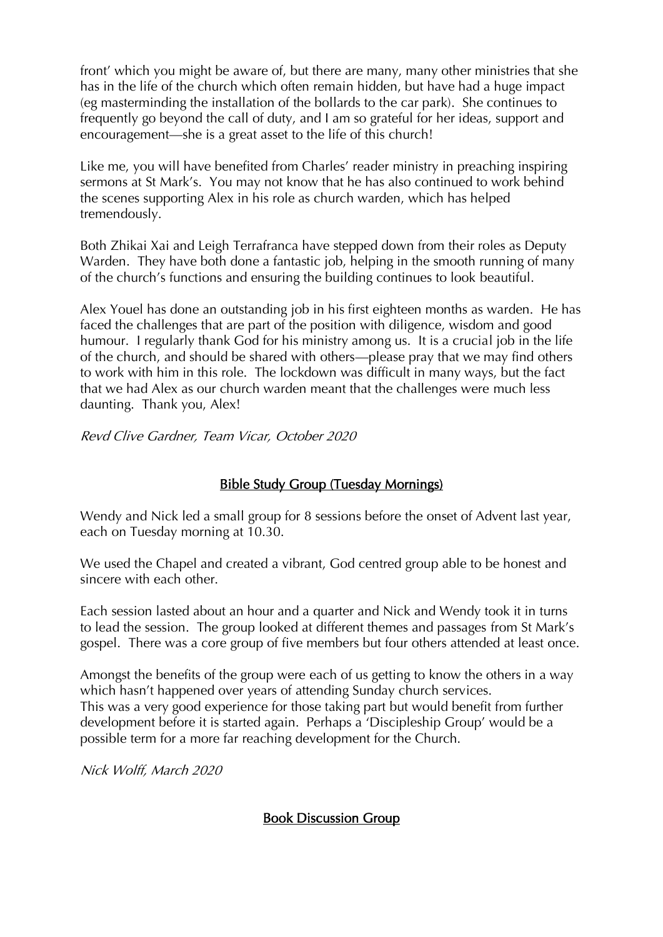front' which you might be aware of, but there are many, many other ministries that she has in the life of the church which often remain hidden, but have had a huge impact (eg masterminding the installation of the bollards to the car park). She continues to frequently go beyond the call of duty, and I am so grateful for her ideas, support and encouragement—she is a great asset to the life of this church!

Like me, you will have benefited from Charles' reader ministry in preaching inspiring sermons at St Mark's. You may not know that he has also continued to work behind the scenes supporting Alex in his role as church warden, which has helped tremendously.

Both Zhikai Xai and Leigh Terrafranca have stepped down from their roles as Deputy Warden. They have both done a fantastic job, helping in the smooth running of many of the church's functions and ensuring the building continues to look beautiful.

Alex Youel has done an outstanding job in his first eighteen months as warden. He has faced the challenges that are part of the position with diligence, wisdom and good humour. I regularly thank God for his ministry among us. It is a crucial job in the life of the church, and should be shared with others—please pray that we may find others to work with him in this role. The lockdown was difficult in many ways, but the fact that we had Alex as our church warden meant that the challenges were much less daunting. Thank you, Alex!

Revd Clive Gardner, Team Vicar, October 2020

#### Bible Study Group (Tuesday Mornings)

Wendy and Nick led a small group for 8 sessions before the onset of Advent last year, each on Tuesday morning at 10.30.

We used the Chapel and created a vibrant, God centred group able to be honest and sincere with each other.

Each session lasted about an hour and a quarter and Nick and Wendy took it in turns to lead the session. The group looked at different themes and passages from St Mark's gospel. There was a core group of five members but four others attended at least once.

Amongst the benefits of the group were each of us getting to know the others in a way which hasn't happened over years of attending Sunday church services. This was a very good experience for those taking part but would benefit from further development before it is started again. Perhaps a 'Discipleship Group' would be a possible term for a more far reaching development for the Church.

Nick Wolff, March 2020

## Book Discussion Group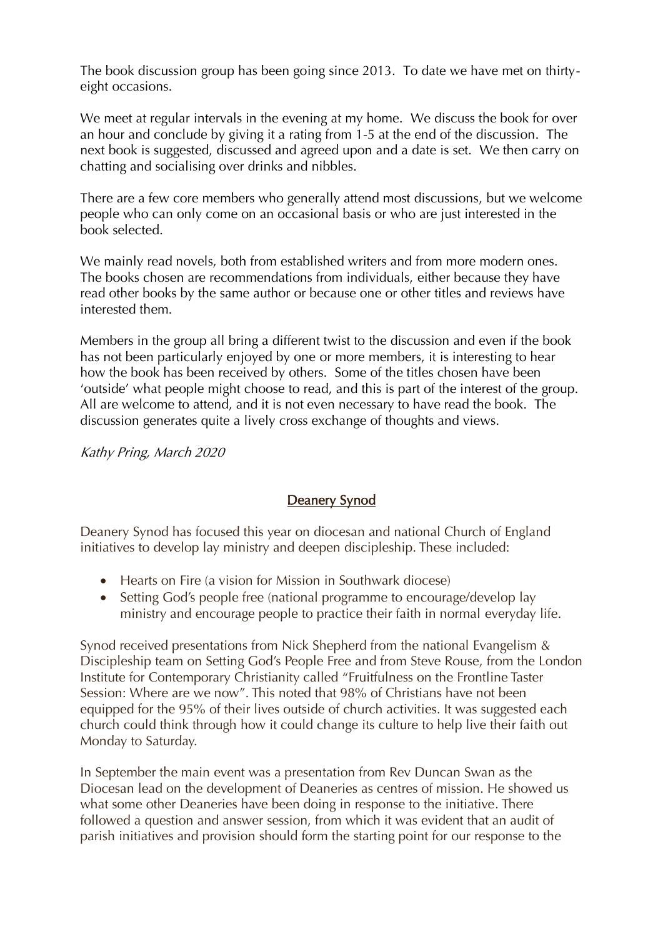The book discussion group has been going since 2013. To date we have met on thirtyeight occasions.

We meet at regular intervals in the evening at my home. We discuss the book for over an hour and conclude by giving it a rating from 1-5 at the end of the discussion. The next book is suggested, discussed and agreed upon and a date is set. We then carry on chatting and socialising over drinks and nibbles.

There are a few core members who generally attend most discussions, but we welcome people who can only come on an occasional basis or who are just interested in the book selected.

We mainly read novels, both from established writers and from more modern ones. The books chosen are recommendations from individuals, either because they have read other books by the same author or because one or other titles and reviews have interested them.

Members in the group all bring a different twist to the discussion and even if the book has not been particularly enjoyed by one or more members, it is interesting to hear how the book has been received by others. Some of the titles chosen have been 'outside' what people might choose to read, and this is part of the interest of the group. All are welcome to attend, and it is not even necessary to have read the book. The discussion generates quite a lively cross exchange of thoughts and views.

Kathy Pring, March 2020

## Deanery Synod

Deanery Synod has focused this year on diocesan and national Church of England initiatives to develop lay ministry and deepen discipleship. These included:

- Hearts on Fire (a vision for Mission in Southwark diocese)
- Setting God's people free (national programme to encourage/develop lay ministry and encourage people to practice their faith in normal everyday life.

Synod received presentations from Nick Shepherd from the national Evangelism & Discipleship team on Setting God's People Free and from Steve Rouse, from the London Institute for Contemporary Christianity called "Fruitfulness on the Frontline Taster Session: Where are we now". This noted that 98% of Christians have not been equipped for the 95% of their lives outside of church activities. It was suggested each church could think through how it could change its culture to help live their faith out Monday to Saturday.

In September the main event was a presentation from Rev Duncan Swan as the Diocesan lead on the development of Deaneries as centres of mission. He showed us what some other Deaneries have been doing in response to the initiative. There followed a question and answer session, from which it was evident that an audit of parish initiatives and provision should form the starting point for our response to the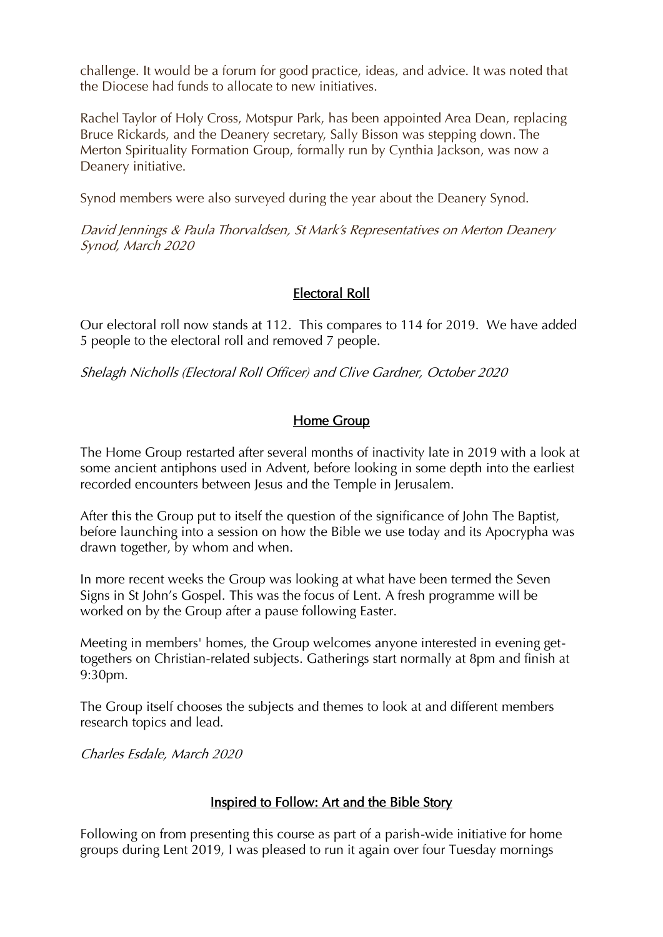challenge. It would be a forum for good practice, ideas, and advice. It was noted that the Diocese had funds to allocate to new initiatives.

Rachel Taylor of Holy Cross, Motspur Park, has been appointed Area Dean, replacing Bruce Rickards, and the Deanery secretary, Sally Bisson was stepping down. The Merton Spirituality Formation Group, formally run by Cynthia Jackson, was now a Deanery initiative.

Synod members were also surveyed during the year about the Deanery Synod.

David Jennings & Paula Thorvaldsen, St Mark's Representatives on Merton Deanery Synod, March 2020

## Electoral Roll

Our electoral roll now stands at 112. This compares to 114 for 2019. We have added 5 people to the electoral roll and removed 7 people.

Shelagh Nicholls (Electoral Roll Officer) and Clive Gardner, October 2020

## Home Group

The Home Group restarted after several months of inactivity late in 2019 with a look at some ancient antiphons used in Advent, before looking in some depth into the earliest recorded encounters between Jesus and the Temple in Jerusalem.

After this the Group put to itself the question of the significance of John The Baptist, before launching into a session on how the Bible we use today and its Apocrypha was drawn together, by whom and when.

In more recent weeks the Group was looking at what have been termed the Seven Signs in St John's Gospel. This was the focus of Lent. A fresh programme will be worked on by the Group after a pause following Easter.

Meeting in members' homes, the Group welcomes anyone interested in evening gettogethers on Christian-related subjects. Gatherings start normally at 8pm and finish at 9:30pm.

The Group itself chooses the subjects and themes to look at and different members research topics and lead.

Charles Esdale, March 2020

#### Inspired to Follow: Art and the Bible Story

Following on from presenting this course as part of a parish-wide initiative for home groups during Lent 2019, I was pleased to run it again over four Tuesday mornings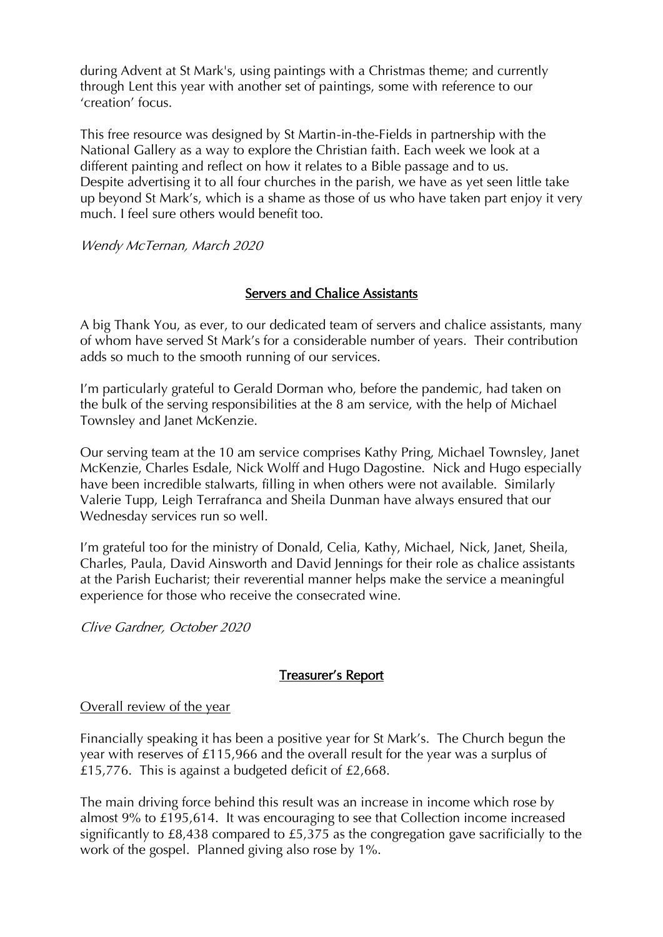during Advent at St Mark's, using paintings with a Christmas theme; and currently through Lent this year with another set of paintings, some with reference to our 'creation' focus.

This free resource was designed by St Martin-in-the-Fields in partnership with the National Gallery as a way to explore the Christian faith. Each week we look at a different painting and reflect on how it relates to a Bible passage and to us. Despite advertising it to all four churches in the parish, we have as yet seen little take up beyond St Mark's, which is a shame as those of us who have taken part enjoy it very much. I feel sure others would benefit too.

Wendy McTernan, March 2020

## Servers and Chalice Assistants

A big Thank You, as ever, to our dedicated team of servers and chalice assistants, many of whom have served St Mark's for a considerable number of years. Their contribution adds so much to the smooth running of our services.

I'm particularly grateful to Gerald Dorman who, before the pandemic, had taken on the bulk of the serving responsibilities at the 8 am service, with the help of Michael Townsley and Janet McKenzie.

Our serving team at the 10 am service comprises Kathy Pring, Michael Townsley, Janet McKenzie, Charles Esdale, Nick Wolff and Hugo Dagostine. Nick and Hugo especially have been incredible stalwarts, filling in when others were not available. Similarly Valerie Tupp, Leigh Terrafranca and Sheila Dunman have always ensured that our Wednesday services run so well.

I'm grateful too for the ministry of Donald, Celia, Kathy, Michael, Nick, Janet, Sheila, Charles, Paula, David Ainsworth and David Jennings for their role as chalice assistants at the Parish Eucharist; their reverential manner helps make the service a meaningful experience for those who receive the consecrated wine.

Clive Gardner, October 2020

## Treasurer's Report

#### Overall review of the year

Financially speaking it has been a positive year for St Mark's. The Church begun the year with reserves of £115,966 and the overall result for the year was a surplus of £15,776. This is against a budgeted deficit of £2,668.

The main driving force behind this result was an increase in income which rose by almost 9% to £195,614. It was encouraging to see that Collection income increased significantly to £8,438 compared to £5,375 as the congregation gave sacrificially to the work of the gospel. Planned giving also rose by 1%.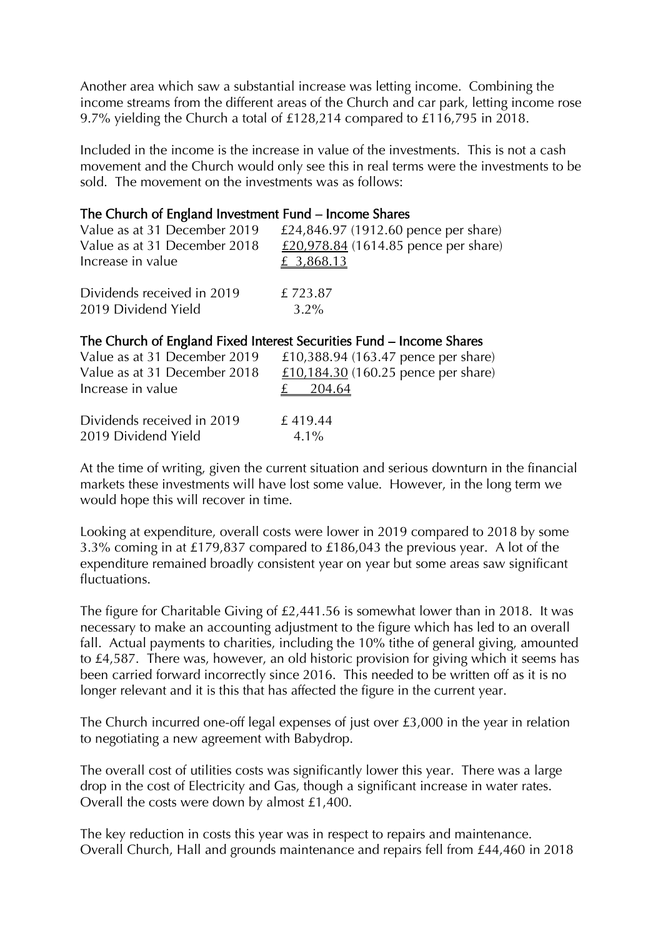Another area which saw a substantial increase was letting income. Combining the income streams from the different areas of the Church and car park, letting income rose 9.7% yielding the Church a total of £128,214 compared to £116,795 in 2018.

Included in the income is the increase in value of the investments. This is not a cash movement and the Church would only see this in real terms were the investments to be sold. The movement on the investments was as follows:

#### The Church of England Investment Fund – Income Shares

| Value as at 31 December 2019                                         | £24,846.97 (1912.60 pence per share) |  |  |  |
|----------------------------------------------------------------------|--------------------------------------|--|--|--|
| Value as at 31 December 2018                                         | £20,978.84 (1614.85 pence per share) |  |  |  |
| Increase in value                                                    | £ 3,868.13                           |  |  |  |
| Dividends received in 2019                                           | £723.87                              |  |  |  |
| 2019 Dividend Yield                                                  | $3.2\%$                              |  |  |  |
| The Church of England Fixed Interest Securities Fund – Income Shares |                                      |  |  |  |

| The charge of England Fixed men corporations I and Threshie brianco |                                     |  |
|---------------------------------------------------------------------|-------------------------------------|--|
| Value as at 31 December 2019                                        | £10,388.94 (163.47 pence per share) |  |
| Value as at 31 December 2018                                        | £10,184.30 (160.25 pence per share) |  |
| Increase in value                                                   | <u>£</u> 204.64                     |  |
| Dividends received in 2019                                          | £419.44                             |  |
| 2019 Dividend Yield                                                 | $4.1\%$                             |  |

At the time of writing, given the current situation and serious downturn in the financial markets these investments will have lost some value. However, in the long term we would hope this will recover in time.

Looking at expenditure, overall costs were lower in 2019 compared to 2018 by some 3.3% coming in at £179,837 compared to £186,043 the previous year. A lot of the expenditure remained broadly consistent year on year but some areas saw significant fluctuations.

The figure for Charitable Giving of £2,441.56 is somewhat lower than in 2018. It was necessary to make an accounting adjustment to the figure which has led to an overall fall. Actual payments to charities, including the 10% tithe of general giving, amounted to £4,587. There was, however, an old historic provision for giving which it seems has been carried forward incorrectly since 2016. This needed to be written off as it is no longer relevant and it is this that has affected the figure in the current year.

The Church incurred one-off legal expenses of just over £3,000 in the year in relation to negotiating a new agreement with Babydrop.

The overall cost of utilities costs was significantly lower this year. There was a large drop in the cost of Electricity and Gas, though a significant increase in water rates. Overall the costs were down by almost £1,400.

The key reduction in costs this year was in respect to repairs and maintenance. Overall Church, Hall and grounds maintenance and repairs fell from £44,460 in 2018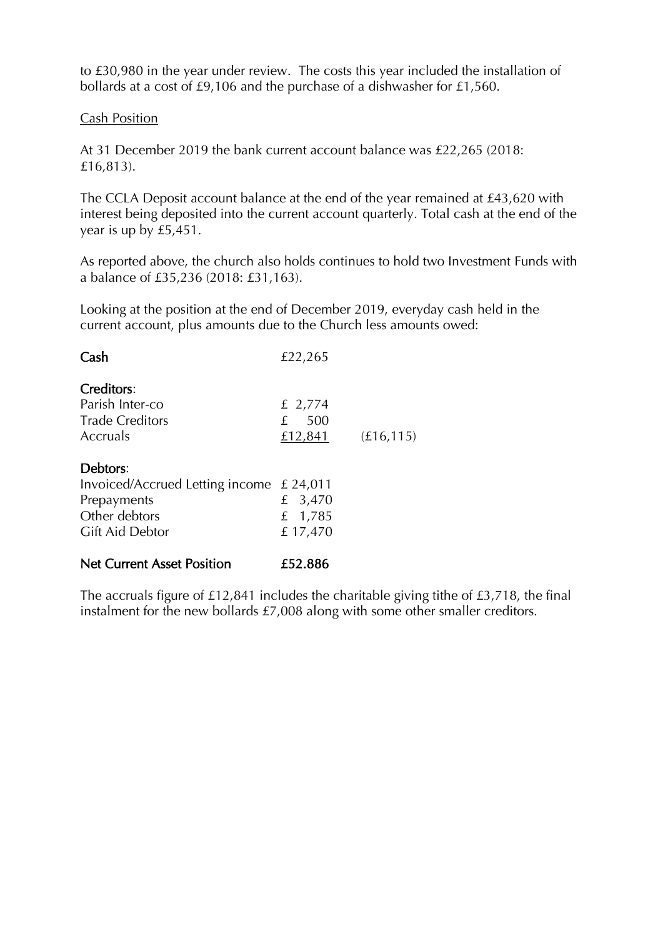to £30,980 in the year under review. The costs this year included the installation of bollards at a cost of £9,106 and the purchase of a dishwasher for £1,560.

#### Cash Position

At 31 December 2019 the bank current account balance was £22,265 (2018: £16,813).

The CCLA Deposit account balance at the end of the year remained at £43,620 with interest being deposited into the current account quarterly. Total cash at the end of the year is up by £5,451.

As reported above, the church also holds continues to hold two Investment Funds with a balance of £35,236 (2018: £31,163).

Looking at the position at the end of December 2019, everyday cash held in the current account, plus amounts due to the Church less amounts owed:

| Cash                                       | £22,265  |            |
|--------------------------------------------|----------|------------|
| Creditors:                                 |          |            |
| Parish Inter-co                            | £ 2,774  |            |
| <b>Trade Creditors</b>                     | 500<br>£ |            |
| Accruals                                   | £12,841  | (E16, 115) |
| Debtors:                                   |          |            |
| Invoiced/Accrued Letting income $£ 24,011$ |          |            |
| Prepayments                                | £ 3,470  |            |
| Other debtors                              | £ 1,785  |            |
| Gift Aid Debtor                            | £17,470  |            |
| <b>Net Current Asset Position</b>          | £52.886  |            |

The accruals figure of £12,841 includes the charitable giving tithe of £3,718, the final instalment for the new bollards £7,008 along with some other smaller creditors.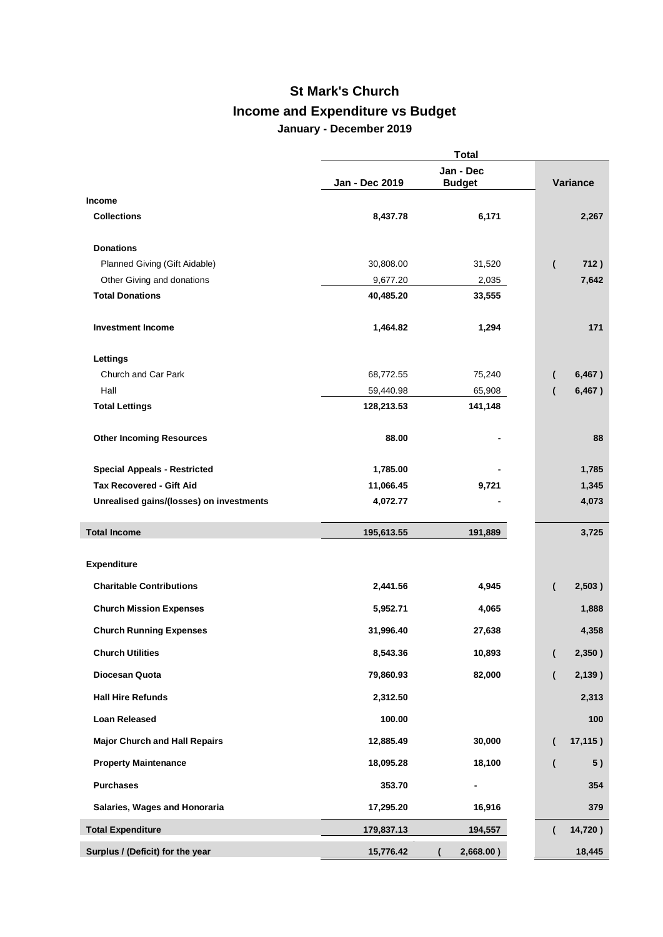## **St Mark's Church Income and Expenditure vs Budget January - December 2019**

|                                          |                | <b>Total</b>               |                                |
|------------------------------------------|----------------|----------------------------|--------------------------------|
|                                          | Jan - Dec 2019 | Jan - Dec<br><b>Budget</b> | Variance                       |
| <b>Income</b>                            |                |                            |                                |
| <b>Collections</b>                       | 8,437.78       | 6,171                      | 2,267                          |
| <b>Donations</b>                         |                |                            |                                |
| Planned Giving (Gift Aidable)            | 30,808.00      | 31,520                     | 712)<br>$\overline{ }$         |
| Other Giving and donations               | 9,677.20       | 2,035                      | 7,642                          |
| <b>Total Donations</b>                   | 40,485.20      | 33,555                     |                                |
| <b>Investment Income</b>                 | 1,464.82       | 1,294                      | 171                            |
| Lettings                                 |                |                            |                                |
| Church and Car Park                      | 68,772.55      | 75,240                     | 6,467)<br>$\overline{ }$       |
| Hall                                     | 59,440.98      | 65,908                     | 6,467)<br>$\overline{ }$       |
| <b>Total Lettings</b>                    | 128,213.53     | 141,148                    |                                |
| <b>Other Incoming Resources</b>          | 88.00          |                            | 88                             |
| <b>Special Appeals - Restricted</b>      | 1,785.00       |                            | 1,785                          |
| <b>Tax Recovered - Gift Aid</b>          | 11,066.45      | 9,721                      | 1,345                          |
| Unrealised gains/(losses) on investments | 4,072.77       |                            | 4,073                          |
| <b>Total Income</b>                      | 195,613.55     | 191,889                    | 3,725                          |
| <b>Expenditure</b>                       |                |                            |                                |
| <b>Charitable Contributions</b>          | 2,441.56       | 4,945                      | 2,503)<br>$\overline{ }$       |
| <b>Church Mission Expenses</b>           | 5,952.71       | 4,065                      | 1,888                          |
| <b>Church Running Expenses</b>           | 31,996.40      | 27,638                     | 4,358                          |
| <b>Church Utilities</b>                  | 8,543.36       | 10,893                     | 2,350)                         |
| Diocesan Quota                           | 79,860.93      | 82,000                     | 2,139)<br>$\overline{ }$       |
| <b>Hall Hire Refunds</b>                 | 2,312.50       |                            | 2,313                          |
| <b>Loan Released</b>                     | 100.00         |                            | 100                            |
| <b>Major Church and Hall Repairs</b>     | 12,885.49      | 30,000                     | 17,115)<br>$\overline{ }$      |
| <b>Property Maintenance</b>              | 18,095.28      | 18,100                     | 5)<br>$\overline{\mathcal{L}}$ |
| <b>Purchases</b>                         | 353.70         |                            | 354                            |
| Salaries, Wages and Honoraria            | 17,295.20      | 16,916                     | 379                            |
| <b>Total Expenditure</b>                 | 179,837.13     | 194,557                    | 14,720)                        |
| Surplus / (Deficit) for the year         | 15,776.42      | 2,668.00)                  | 18,445                         |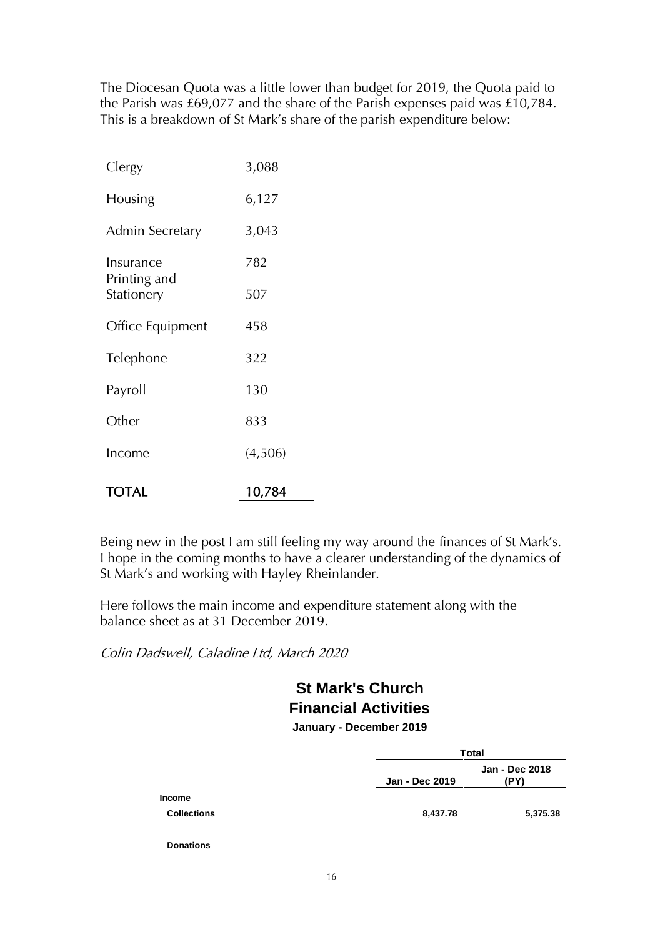The Diocesan Quota was a little lower than budget for 2019, the Quota paid to the Parish was £69,077 and the share of the Parish expenses paid was £10,784. This is a breakdown of St Mark's share of the parish expenditure below:

| TOTAL                      | 10,784  |
|----------------------------|---------|
| Income                     | (4,506) |
| Other                      | 833     |
| Payroll                    | 130     |
| Telephone                  | 322     |
| Office Equipment           | 458     |
| Printing and<br>Stationery | 507     |
| Insurance                  | 782     |
| Admin Secretary            | 3,043   |
| Housing                    | 6,127   |
| Clergy                     | 3,088   |

Being new in the post I am still feeling my way around the finances of St Mark's. I hope in the coming months to have a clearer understanding of the dynamics of St Mark's and working with Hayley Rheinlander.

Here follows the main income and expenditure statement along with the balance sheet as at 31 December 2019.

Colin Dadswell, Caladine Ltd, March 2020

# **St Mark's Church Financial Activities**

**January - December 2019**

|                    |                | <b>Total</b>           |  |
|--------------------|----------------|------------------------|--|
|                    | Jan - Dec 2019 | Jan - Dec 2018<br>(PY) |  |
| <b>Income</b>      |                |                        |  |
| <b>Collections</b> | 8,437.78       | 5,375.38               |  |
| <b>Donations</b>   |                |                        |  |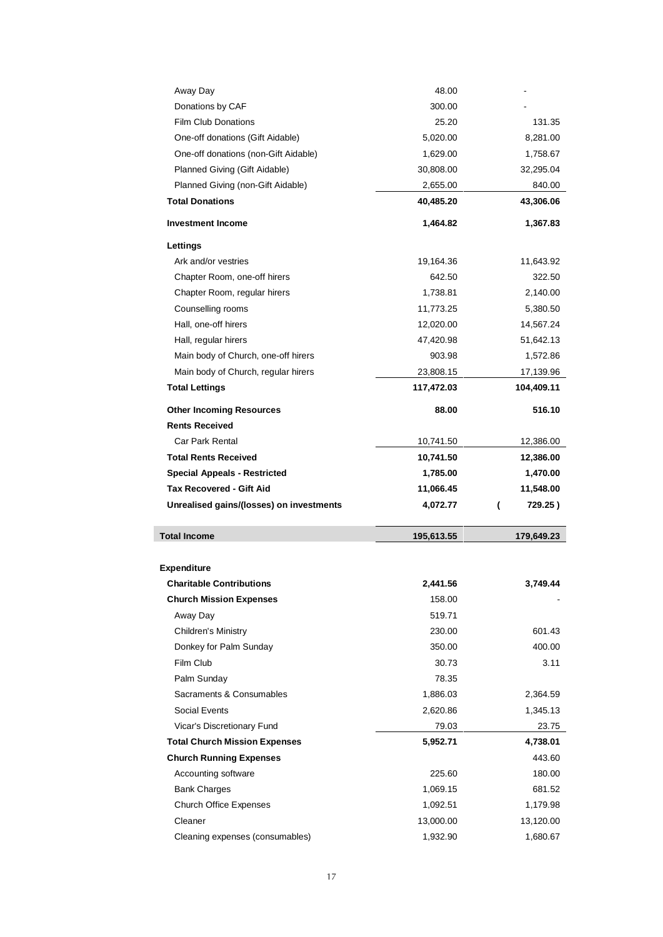| Away Day                                   | 48.00             |                   |
|--------------------------------------------|-------------------|-------------------|
| Donations by CAF                           | 300.00            |                   |
| <b>Film Club Donations</b>                 | 25.20             | 131.35            |
| One-off donations (Gift Aidable)           | 5,020.00          | 8,281.00          |
| One-off donations (non-Gift Aidable)       | 1,629.00          | 1,758.67          |
| Planned Giving (Gift Aidable)              | 30,808.00         | 32,295.04         |
| Planned Giving (non-Gift Aidable)          | 2,655.00          | 840.00            |
| <b>Total Donations</b>                     | 40,485.20         | 43,306.06         |
| <b>Investment Income</b>                   | 1,464.82          | 1,367.83          |
| Lettings                                   |                   |                   |
| Ark and/or vestries                        | 19,164.36         | 11,643.92         |
| Chapter Room, one-off hirers               | 642.50            | 322.50            |
| Chapter Room, regular hirers               | 1,738.81          | 2,140.00          |
| Counselling rooms                          | 11,773.25         | 5,380.50          |
| Hall, one-off hirers                       | 12,020.00         | 14,567.24         |
| Hall, regular hirers                       | 47,420.98         | 51,642.13         |
| Main body of Church, one-off hirers        | 903.98            | 1,572.86          |
| Main body of Church, regular hirers        | 23,808.15         | 17,139.96         |
| <b>Total Lettings</b>                      | 117,472.03        | 104,409.11        |
| <b>Other Incoming Resources</b>            | 88.00             | 516.10            |
| <b>Rents Received</b>                      |                   |                   |
| <b>Car Park Rental</b>                     | 10,741.50         | 12,386.00         |
| <b>Total Rents Received</b>                | 10,741.50         | 12,386.00         |
|                                            |                   |                   |
| <b>Special Appeals - Restricted</b>        | 1,785.00          | 1,470.00          |
| <b>Tax Recovered - Gift Aid</b>            | 11,066.45         | 11,548.00         |
| Unrealised gains/(losses) on investments   | 4,072.77          | 729.25)<br>(      |
| <b>Total Income</b>                        | 195,613.55        | 179,649.23        |
|                                            |                   |                   |
| Expenditure                                |                   |                   |
| <b>Charitable Contributions</b>            | 2,441.56          | 3,749.44          |
| <b>Church Mission Expenses</b>             | 158.00            |                   |
| Away Day                                   | 519.71            |                   |
| Children's Ministry                        | 230.00            | 601.43            |
| Donkey for Palm Sunday                     | 350.00            | 400.00            |
| Film Club                                  | 30.73             | 3.11              |
| Palm Sunday<br>Sacraments & Consumables    | 78.35             |                   |
|                                            | 1,886.03          | 2,364.59          |
| Social Events                              | 2,620.86          | 1,345.13          |
| Vicar's Discretionary Fund                 | 79.03<br>5,952.71 | 23.75<br>4,738.01 |
| <b>Total Church Mission Expenses</b>       |                   | 443.60            |
| <b>Church Running Expenses</b>             | 225.60            | 180.00            |
| Accounting software<br><b>Bank Charges</b> | 1,069.15          | 681.52            |
|                                            | 1,092.51          | 1,179.98          |
| <b>Church Office Expenses</b><br>Cleaner   | 13,000.00         | 13,120.00         |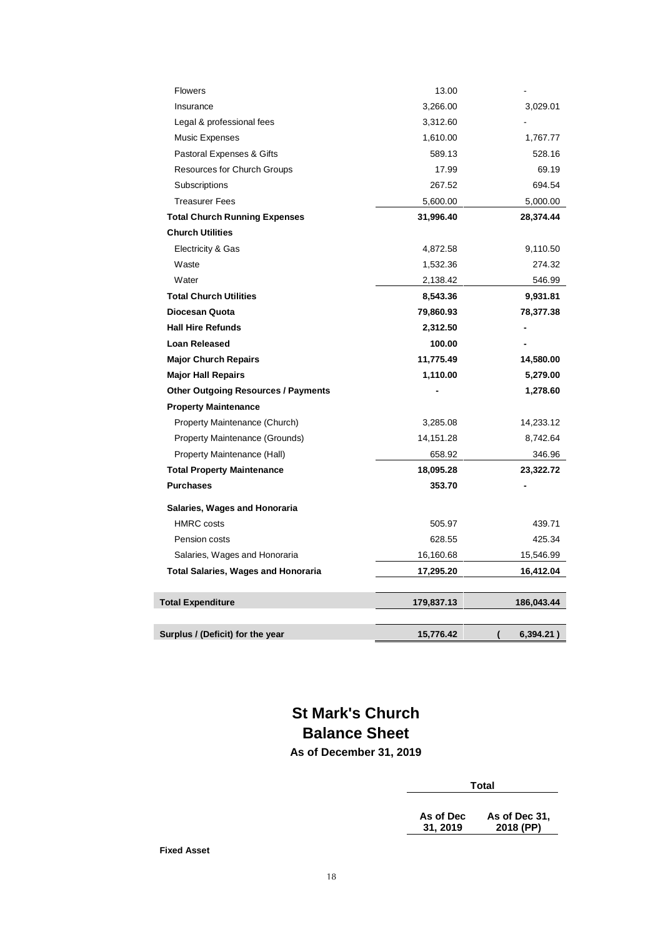| Surplus / (Deficit) for the year           | 15,776.42  | 6,394.21)<br>( |
|--------------------------------------------|------------|----------------|
| <b>Total Expenditure</b>                   | 179,837.13 | 186,043.44     |
|                                            |            |                |
| <b>Total Salaries, Wages and Honoraria</b> | 17,295.20  | 16,412.04      |
| Salaries, Wages and Honoraria              | 16,160.68  | 15,546.99      |
| Pension costs                              | 628.55     | 425.34         |
| <b>HMRC</b> costs                          | 505.97     | 439.71         |
| Salaries, Wages and Honoraria              |            |                |
| <b>Purchases</b>                           | 353.70     |                |
| <b>Total Property Maintenance</b>          | 18,095.28  | 23,322.72      |
| Property Maintenance (Hall)                | 658.92     | 346.96         |
| Property Maintenance (Grounds)             | 14,151.28  | 8,742.64       |
| Property Maintenance (Church)              | 3,285.08   | 14,233.12      |
| <b>Property Maintenance</b>                |            |                |
| <b>Other Outgoing Resources / Payments</b> |            | 1,278.60       |
| <b>Major Hall Repairs</b>                  | 1,110.00   | 5,279.00       |
| <b>Major Church Repairs</b>                | 11,775.49  | 14,580.00      |
| <b>Loan Released</b>                       | 100.00     |                |
| <b>Hall Hire Refunds</b>                   | 2,312.50   |                |
| Diocesan Quota                             | 79,860.93  | 78,377.38      |
| <b>Total Church Utilities</b>              | 8,543.36   | 9,931.81       |
| Water                                      | 2,138.42   | 546.99         |
| Waste                                      | 1,532.36   | 274.32         |
| Electricity & Gas                          | 4,872.58   | 9,110.50       |
| <b>Church Utilities</b>                    |            |                |
| <b>Total Church Running Expenses</b>       | 31,996.40  | 28,374.44      |
| <b>Treasurer Fees</b>                      | 5,600.00   | 5,000.00       |
| Subscriptions                              | 267.52     | 694.54         |
| Resources for Church Groups                | 17.99      | 69.19          |
| Pastoral Expenses & Gifts                  | 589.13     | 528.16         |
| Music Expenses                             | 1,610.00   | 1,767.77       |
| Legal & professional fees                  | 3,312.60   |                |
| Insurance                                  | 3,266.00   | 3,029.01       |
| <b>Flowers</b>                             | 13.00      |                |

## **St Mark's Church Balance Sheet As of December 31, 2019**

**Total**

**As of Dec 31, 2019 As of Dec 31, 2018 (PP)**

**Fixed Asset**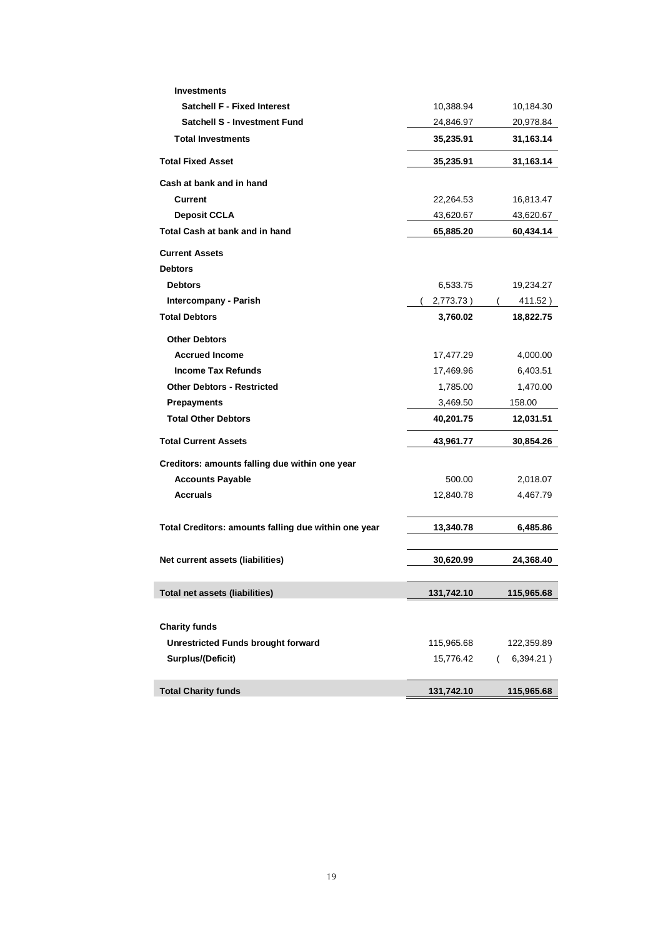| <b>Investments</b>                                   |            |                       |
|------------------------------------------------------|------------|-----------------------|
| <b>Satchell F - Fixed Interest</b>                   | 10,388.94  | 10,184.30             |
| <b>Satchell S - Investment Fund</b>                  | 24,846.97  | 20,978.84             |
| <b>Total Investments</b>                             | 35,235.91  | 31,163.14             |
| <b>Total Fixed Asset</b>                             | 35,235.91  | 31,163.14             |
| Cash at bank and in hand                             |            |                       |
| <b>Current</b>                                       | 22,264.53  | 16,813.47             |
| <b>Deposit CCLA</b>                                  | 43,620.67  | 43,620.67             |
| Total Cash at bank and in hand                       | 65,885.20  | 60,434.14             |
| <b>Current Assets</b>                                |            |                       |
| <b>Debtors</b>                                       |            |                       |
| <b>Debtors</b>                                       | 6,533.75   | 19,234.27             |
| Intercompany - Parish                                | 2,773.73)  | 411.52)               |
| <b>Total Debtors</b>                                 | 3,760.02   | 18,822.75             |
| <b>Other Debtors</b>                                 |            |                       |
| <b>Accrued Income</b>                                | 17,477.29  | 4,000.00              |
| <b>Income Tax Refunds</b>                            | 17,469.96  | 6,403.51              |
| <b>Other Debtors - Restricted</b>                    | 1,785.00   | 1,470.00              |
| <b>Prepayments</b>                                   | 3,469.50   | 158.00                |
| <b>Total Other Debtors</b>                           | 40,201.75  | 12,031.51             |
| <b>Total Current Assets</b>                          | 43,961.77  | 30,854.26             |
| Creditors: amounts falling due within one year       |            |                       |
| <b>Accounts Payable</b>                              | 500.00     | 2,018.07              |
| <b>Accruals</b>                                      | 12,840.78  | 4,467.79              |
|                                                      |            |                       |
| Total Creditors: amounts falling due within one year | 13,340.78  | 6,485.86              |
|                                                      |            |                       |
| Net current assets (liabilities)                     | 30,620.99  | 24,368.40             |
| Total net assets (liabilities)                       | 131,742.10 | 115,965.68            |
|                                                      |            |                       |
| <b>Charity funds</b>                                 |            |                       |
| <b>Unrestricted Funds brought forward</b>            | 115,965.68 | 122,359.89            |
| Surplus/(Deficit)                                    | 15,776.42  | 6,394.21)<br>$\left($ |
|                                                      |            |                       |
| <b>Total Charity funds</b>                           | 131,742.10 | 115,965.68            |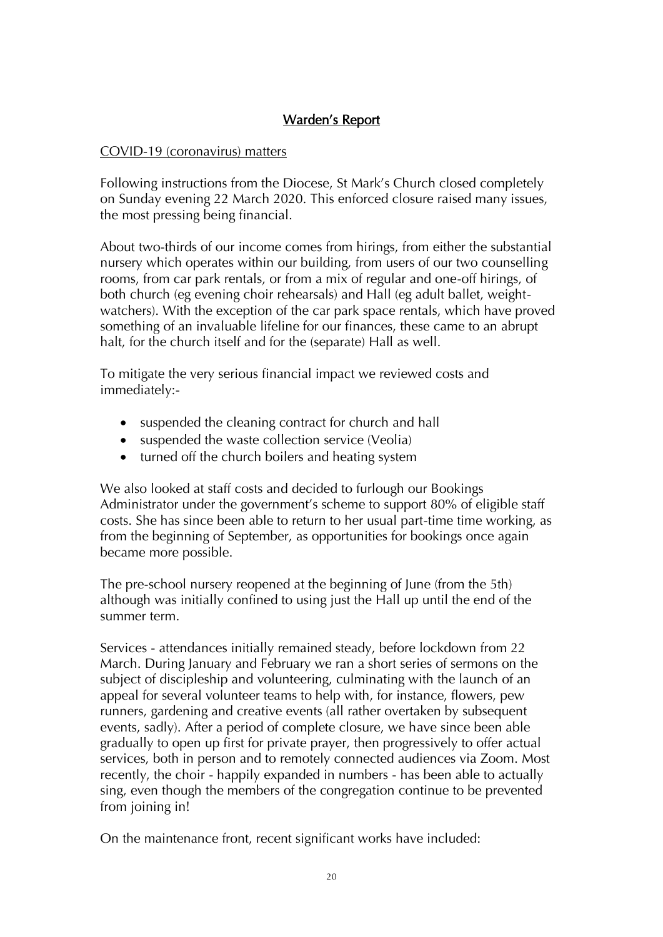## Warden's Report

#### COVID-19 (coronavirus) matters

Following instructions from the Diocese, St Mark's Church closed completely on Sunday evening 22 March 2020. This enforced closure raised many issues, the most pressing being financial.

About two-thirds of our income comes from hirings, from either the substantial nursery which operates within our building, from users of our two counselling rooms, from car park rentals, or from a mix of regular and one-off hirings, of both church (eg evening choir rehearsals) and Hall (eg adult ballet, weightwatchers). With the exception of the car park space rentals, which have proved something of an invaluable lifeline for our finances, these came to an abrupt halt, for the church itself and for the (separate) Hall as well.

To mitigate the very serious financial impact we reviewed costs and immediately:-

- suspended the cleaning contract for church and hall
- suspended the waste collection service (Veolia)
- turned off the church boilers and heating system

We also looked at staff costs and decided to furlough our Bookings Administrator under the government's scheme to support 80% of eligible staff costs. She has since been able to return to her usual part-time time working, as from the beginning of September, as opportunities for bookings once again became more possible.

The pre-school nursery reopened at the beginning of June (from the 5th) although was initially confined to using just the Hall up until the end of the summer term.

Services - attendances initially remained steady, before lockdown from 22 March. During January and February we ran a short series of sermons on the subject of discipleship and volunteering, culminating with the launch of an appeal for several volunteer teams to help with, for instance, flowers, pew runners, gardening and creative events (all rather overtaken by subsequent events, sadly). After a period of complete closure, we have since been able gradually to open up first for private prayer, then progressively to offer actual services, both in person and to remotely connected audiences via Zoom. Most recently, the choir - happily expanded in numbers - has been able to actually sing, even though the members of the congregation continue to be prevented from joining in!

On the maintenance front, recent significant works have included: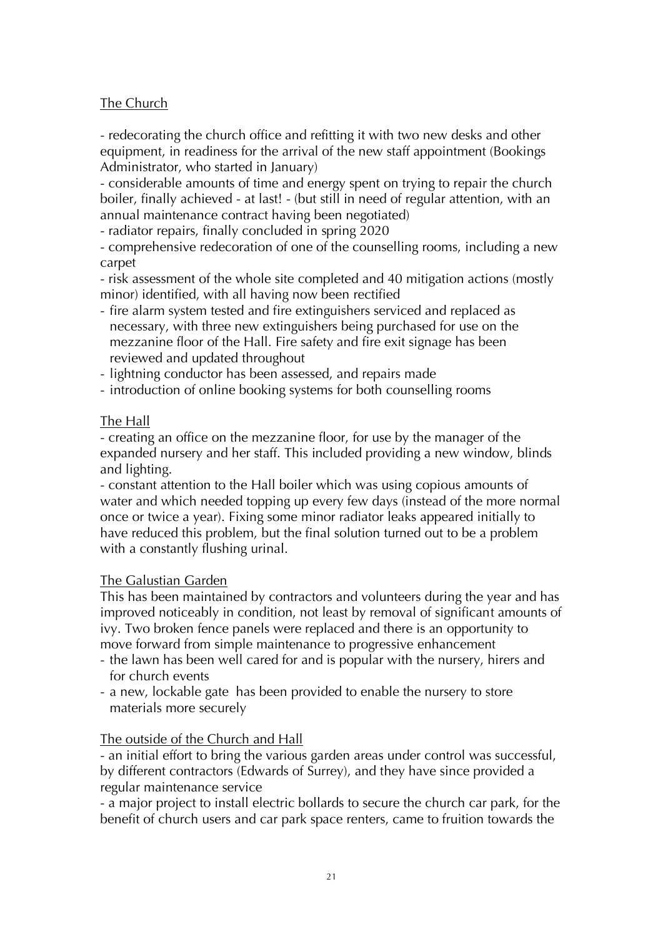#### The Church

- redecorating the church office and refitting it with two new desks and other equipment, in readiness for the arrival of the new staff appointment (Bookings Administrator, who started in January)

- considerable amounts of time and energy spent on trying to repair the church boiler, finally achieved - at last! - (but still in need of regular attention, with an annual maintenance contract having been negotiated)

- radiator repairs, finally concluded in spring 2020

- comprehensive redecoration of one of the counselling rooms, including a new carpet

- risk assessment of the whole site completed and 40 mitigation actions (mostly minor) identified, with all having now been rectified

- fire alarm system tested and fire extinguishers serviced and replaced as necessary, with three new extinguishers being purchased for use on the mezzanine floor of the Hall. Fire safety and fire exit signage has been reviewed and updated throughout

- lightning conductor has been assessed, and repairs made

- introduction of online booking systems for both counselling rooms

## The Hall

- creating an office on the mezzanine floor, for use by the manager of the expanded nursery and her staff. This included providing a new window, blinds and lighting.

- constant attention to the Hall boiler which was using copious amounts of water and which needed topping up every few days (instead of the more normal once or twice a year). Fixing some minor radiator leaks appeared initially to have reduced this problem, but the final solution turned out to be a problem with a constantly flushing urinal.

#### The Galustian Garden

This has been maintained by contractors and volunteers during the year and has improved noticeably in condition, not least by removal of significant amounts of ivy. Two broken fence panels were replaced and there is an opportunity to move forward from simple maintenance to progressive enhancement

- the lawn has been well cared for and is popular with the nursery, hirers and for church events
- a new, lockable gate has been provided to enable the nursery to store materials more securely

#### The outside of the Church and Hall

- an initial effort to bring the various garden areas under control was successful, by different contractors (Edwards of Surrey), and they have since provided a regular maintenance service

- a major project to install electric bollards to secure the church car park, for the benefit of church users and car park space renters, came to fruition towards the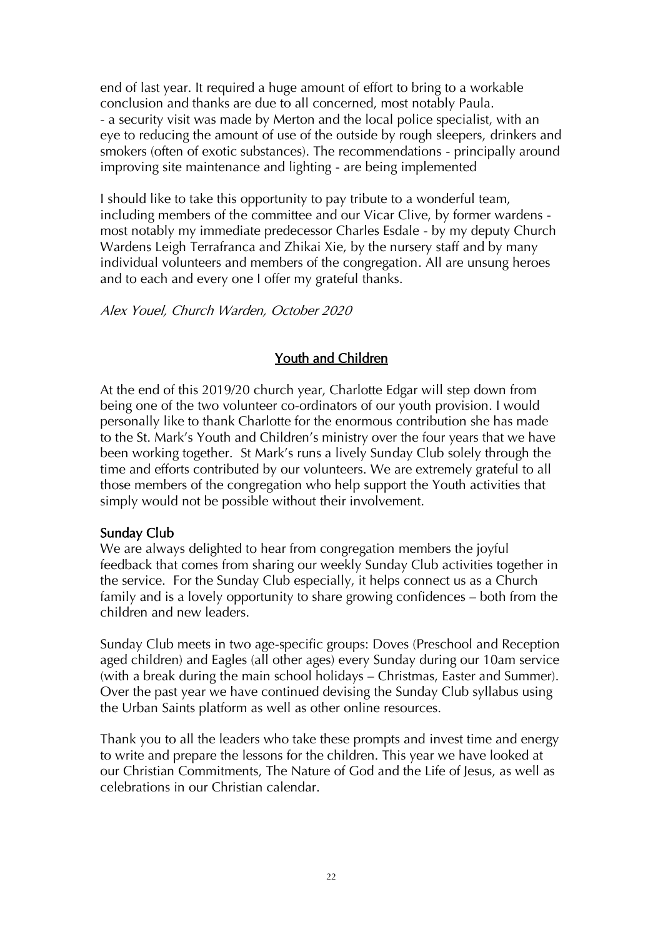end of last year. It required a huge amount of effort to bring to a workable conclusion and thanks are due to all concerned, most notably Paula. - a security visit was made by Merton and the local police specialist, with an eye to reducing the amount of use of the outside by rough sleepers, drinkers and smokers (often of exotic substances). The recommendations - principally around improving site maintenance and lighting - are being implemented

I should like to take this opportunity to pay tribute to a wonderful team, including members of the committee and our Vicar Clive, by former wardens most notably my immediate predecessor Charles Esdale - by my deputy Church Wardens Leigh Terrafranca and Zhikai Xie, by the nursery staff and by many individual volunteers and members of the congregation. All are unsung heroes and to each and every one I offer my grateful thanks.

Alex Youel, Church Warden, October 2020

## Youth and Children

At the end of this 2019/20 church year, Charlotte Edgar will step down from being one of the two volunteer co-ordinators of our youth provision. I would personally like to thank Charlotte for the enormous contribution she has made to the St. Mark's Youth and Children's ministry over the four years that we have been working together. St Mark's runs a lively Sunday Club solely through the time and efforts contributed by our volunteers. We are extremely grateful to all those members of the congregation who help support the Youth activities that simply would not be possible without their involvement.

#### Sunday Club

We are always delighted to hear from congregation members the joyful feedback that comes from sharing our weekly Sunday Club activities together in the service. For the Sunday Club especially, it helps connect us as a Church family and is a lovely opportunity to share growing confidences – both from the children and new leaders.

Sunday Club meets in two age-specific groups: Doves (Preschool and Reception aged children) and Eagles (all other ages) every Sunday during our 10am service (with a break during the main school holidays – Christmas, Easter and Summer). Over the past year we have continued devising the Sunday Club syllabus using the Urban Saints platform as well as other online resources.

Thank you to all the leaders who take these prompts and invest time and energy to write and prepare the lessons for the children. This year we have looked at our Christian Commitments, The Nature of God and the Life of Jesus, as well as celebrations in our Christian calendar.